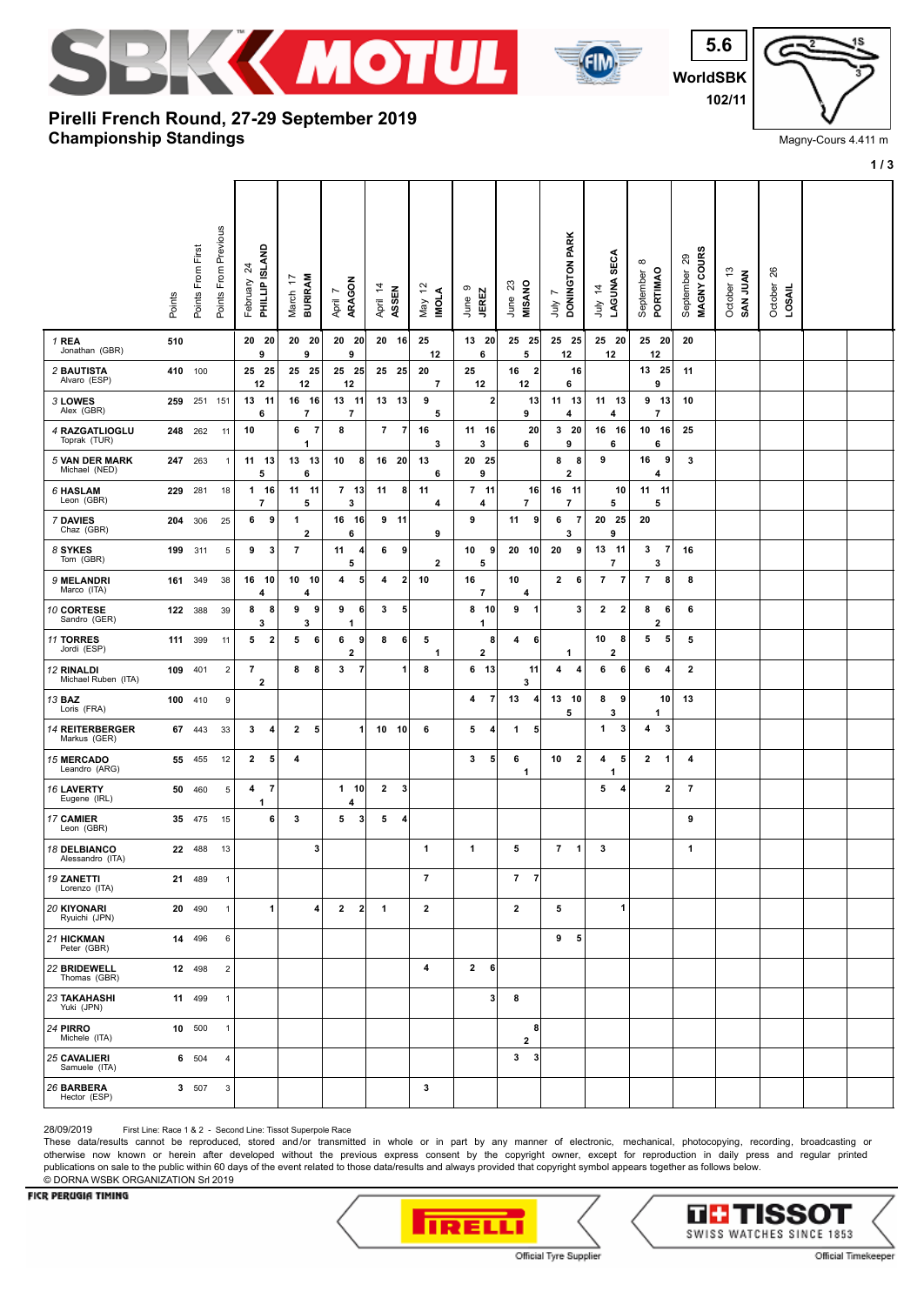

**Pirelli French Round, 27-29 September 2019**

**Championship Standings**



**WorldSBK 5.6 102/11**



Magny-Cours 4.411 m

|                                         |                                                     |                         |                                   |                               |                |                                             |                   |                |                                    |                      |                                     |                                        |                                         |                                         |                                |                                        |                         | 1/3 |
|-----------------------------------------|-----------------------------------------------------|-------------------------|-----------------------------------|-------------------------------|----------------|---------------------------------------------|-------------------|----------------|------------------------------------|----------------------|-------------------------------------|----------------------------------------|-----------------------------------------|-----------------------------------------|--------------------------------|----------------------------------------|-------------------------|-----|
|                                         | Points From Previous<br>Points From First<br>Points |                         | PHILLIP ISLAND<br>শ্ৰ<br>February | <b>BURIRAM</b><br>17<br>March |                | ARAGON<br>$\overline{\phantom{a}}$<br>April | April 14<br>ASSEN |                | $\tilde{c}$<br><b>INOLA</b><br>May | σ<br>June 9<br>JEREZ | June 23<br>MISANO                   | DONINGTON PARK<br>$\overline{ }$<br>λη | LAGUNA SECA<br>$\frac{4}{7}$<br>Š       | $\infty$<br>PORTIMAO<br>September       | MAGNY COURS<br>29<br>September | $\frac{3}{2}$<br>SAN JUAN<br>October - | 26<br>October<br>LOSAIL |     |
| 1 REA<br>Jonathan (GBR)                 | 510                                                 |                         | 20 20<br>9                        | 20 20<br>9                    |                | 20 20<br>9                                  | 20 16             |                | 25<br>12                           | 13 20<br>6           | 25 25<br>5                          | 25 25<br>12                            | 25 20<br>12                             | 25 20<br>12                             | 20                             |                                        |                         |     |
| 2 BAUTISTA<br>Alvaro (ESP)              | 410 100                                             |                         | 25 25<br>12                       | 25 25<br>12                   |                | $25$ 25<br>12                               | 25 25             |                | 20<br>7                            | 25<br>12             | $\overline{\mathbf{2}}$<br>16<br>12 | 16<br>6                                |                                         | 13 25<br>9                              | 11                             |                                        |                         |     |
| 3 LOWES<br>Alex (GBR)                   | 259<br>251 151                                      |                         | 13 11<br>6                        | 16 16<br>7                    |                | 13 11<br>7                                  | 13 13             |                | 9<br>5                             | 2                    | 13<br>9                             | 11<br>- 13<br>4                        | 11 13<br>4                              | $9$ 13<br>7                             | 10                             |                                        |                         |     |
| 4 RAZGATLIOGLU<br>Toprak (TUR)          | 248<br>262                                          | 11                      | 10                                | 6<br>1                        | $\overline{7}$ | 8                                           | $\mathbf{7}$      | $\overline{7}$ | 16<br>3                            | 11 16<br>3           | 20<br>6                             | 320<br>9                               | 16 16<br>6                              | 10 16<br>6                              | 25                             |                                        |                         |     |
| 5 VAN DER MARK<br>Michael (NED)         | 247 263                                             | $\mathbf{1}$            | 11 13<br>5                        | 13 13<br>6                    |                | 10<br>8                                     | 16 20             |                | 13<br>6                            | 20 25<br>9           |                                     | 8<br>8<br>$\mathbf{2}$                 | 9                                       | 16<br>9<br>4                            | 3                              |                                        |                         |     |
| 6 HASLAM<br>Leon (GBR)                  | 281<br>229                                          | 18                      | 1 16<br>$\overline{7}$            | 11 11<br>5                    |                | $7$ 13<br>3                                 | 11                | 8              | 11<br>4                            | 7 <sub>11</sub><br>4 | 16<br>7                             | 16 11<br>7                             | 10<br>5                                 | 11 11<br>5                              |                                |                                        |                         |     |
| 7 DAVIES<br>Chaz (GBR)                  | 306<br>204                                          | 25                      | 9<br>6                            | 1<br>$\mathbf{2}$             |                | 16 16<br>6                                  | 9 11              |                | 9                                  | 9                    | 11<br>9                             | 6<br>$\overline{7}$<br>3               | 20 25<br>9                              | 20                                      |                                |                                        |                         |     |
| 8 SYKES<br>Tom (GBR)                    | 199<br>311                                          | $\,$ 5 $\,$             | 9<br>3                            | $\overline{7}$                |                | 11<br>4<br>5                                | 6                 | 9              | 2                                  | 10<br>9<br>5         | $20$ 10                             | 9<br>20                                | 13 11<br>7                              | 3<br>$\overline{7}$<br>3                | 16                             |                                        |                         |     |
| 9 MELANDRI<br>Marco (ITA)               | 161<br>349                                          | 38                      | 16 10<br>4                        | 10 10<br>4                    |                | 4<br>5 <sup>1</sup>                         | 4                 | $\mathbf{2}$   | 10                                 | 16<br>$\overline{7}$ | 10<br>4                             | $\mathbf{2}$<br>6                      | $\overline{7}$<br>$\overline{7}$        | $\overline{7}$<br>8                     | 8                              |                                        |                         |     |
| 10 CORTESE<br>Sandro (GER)              | 388<br>122                                          | 39                      | 8<br>8<br>3                       | 9<br>3                        | 9              | 9<br>6<br>1                                 | 3                 | 5              |                                    | 8 <sub>10</sub><br>1 | 9<br>$\mathbf{1}$                   | 3                                      | $\mathbf{2}$<br>$\overline{\mathbf{2}}$ | 8<br>6<br>2                             | 6                              |                                        |                         |     |
| 11 TORRES<br>Jordi (ESP)                | 399<br>111                                          | 11                      | 5<br>2                            | 5                             | 6              | 6<br>9<br>$\mathbf 2$                       | 8                 | 6              | 5<br>1                             | 8<br>2               | 4<br>6                              | 1                                      | 10<br>8<br>2                            | 5<br>-5                                 | 5                              |                                        |                         |     |
| 12 RINALDI<br>Michael Ruben (ITA)       | 401<br>109                                          | $\overline{a}$          | $\overline{7}$<br>2               | 8                             | 8              | 3<br>$\overline{7}$                         |                   | 1              | 8                                  | 6 13                 | 11<br>3                             | 4<br>4                                 | 6<br>6                                  | 6<br>4                                  | $\overline{\mathbf{2}}$        |                                        |                         |     |
| 13 BAZ<br>Loris (FRA)                   | 410<br>100                                          | 9                       |                                   |                               |                |                                             |                   |                |                                    | 4<br>$\overline{7}$  | 13<br>4                             | 13<br>10<br>5                          | 8<br>9<br>3                             | 10 <sub>l</sub><br>1                    | 13                             |                                        |                         |     |
| <b>14 REITERBERGER</b><br>Markus (GER)  | 67 443                                              | 33                      | 3<br>4                            | $\mathbf{2}$                  | 5              | 1                                           | 10 10             |                | 6                                  | 5<br>4               | $\mathbf{1}$<br>5                   |                                        | 1<br>3                                  | 3<br>4                                  |                                |                                        |                         |     |
| <b>15 MERCADO</b><br>Leandro (ARG)      | 55<br>455                                           | 12                      | $\mathbf{2}$<br>5                 | 4                             |                |                                             |                   |                |                                    | 3<br>5               | 6<br>1                              | $\overline{\mathbf{2}}$<br>10          | 4<br>5<br>1                             | $\mathbf{2}$<br>$\overline{\mathbf{1}}$ | 4                              |                                        |                         |     |
| 16 LAVERTY<br>Eugene (IRL)              | 460<br>50                                           | 5                       | $\overline{7}$<br>4<br>1          |                               |                | $1 \t10$<br>4                               | $\mathbf{2}$      | 3              |                                    |                      |                                     |                                        | 5<br>4                                  | $\overline{2}$                          | $\overline{7}$                 |                                        |                         |     |
| 17 CAMIER<br>Leon (GBR)                 | 35<br>475                                           | 15                      | 6                                 | 3                             |                | 5<br>3                                      | 5                 | 4              |                                    |                      |                                     |                                        |                                         |                                         | 9                              |                                        |                         |     |
| <b>18 DELBIANCO</b><br>Alessandro (ITA) | 22<br>488                                           | 13                      |                                   |                               | 3 <sup>1</sup> |                                             |                   |                | 1                                  | 1                    | 5                                   | $\overline{7}$<br>$\mathbf{1}$         | 3                                       |                                         | $\mathbf{1}$                   |                                        |                         |     |
| <b>19 ZANETTI</b><br>Lorenzo (ITA)      | 21 489                                              | $\mathbf{1}$            |                                   |                               |                |                                             |                   |                | $\overline{7}$                     |                      | 7 <sub>7</sub>                      |                                        |                                         |                                         |                                |                                        |                         |     |
| 20 KIYONARI<br>Ryuichi (JPN)            | 20 490                                              | $\mathbf{1}$            | 1                                 |                               | 4              | $\mathbf{2}$<br>$\vert$ 2                   | $\overline{1}$    |                | $\mathbf{2}$                       |                      | $\overline{2}$                      | 5                                      | 1                                       |                                         |                                |                                        |                         |     |
| 21 HICKMAN<br>Peter (GBR)               | 14 496                                              | 6                       |                                   |                               |                |                                             |                   |                |                                    |                      |                                     | 9<br>5                                 |                                         |                                         |                                |                                        |                         |     |
| 22 BRIDEWELL<br>Thomas (GBR)            | 12 498                                              | $\overline{2}$          |                                   |                               |                |                                             |                   |                | 4                                  | $\mathbf{2}$<br>6    |                                     |                                        |                                         |                                         |                                |                                        |                         |     |
| <b>23 TAKAHASHI</b><br>Yuki (JPN)       | 11 499                                              | $\mathbf{1}$            |                                   |                               |                |                                             |                   |                |                                    | 3 <sup>1</sup>       | 8                                   |                                        |                                         |                                         |                                |                                        |                         |     |
| 24 PIRRO<br>Michele (ITA)               | 10 500                                              | $\mathbf{1}$            |                                   |                               |                |                                             |                   |                |                                    |                      | 8<br>$\mathbf{2}$                   |                                        |                                         |                                         |                                |                                        |                         |     |
| <b>25 CAVALIERI</b><br>Samuele (ITA)    | 6 504                                               | $\overline{\mathbf{4}}$ |                                   |                               |                |                                             |                   |                |                                    |                      | 3<br>3                              |                                        |                                         |                                         |                                |                                        |                         |     |
| 26 BARBERA<br>Hector (ESP)              | 3 507                                               | 3                       |                                   |                               |                |                                             |                   |                | 3                                  |                      |                                     |                                        |                                         |                                         |                                |                                        |                         |     |

28/09/2019 First Line: Race 1 & 2 - Second Line: Tissot Superpole Race

These data/results cannot be reproduced, stored and/or transmitted in whole or in part by any manner of electronic, mechanical, photocopying, recording, broadcasting or otherwise now known or herein after developed without the previous express consent by the copyright owner, except for reproduction in daily press and regular printed publications on sale to the public within 60 days of the event related to those data/results and always provided that copyright symbol appears together as follows below. © DORNA WSBK ORGANIZATION Srl 2019

### FICR PERUGIA TIMING





Official Timekeeper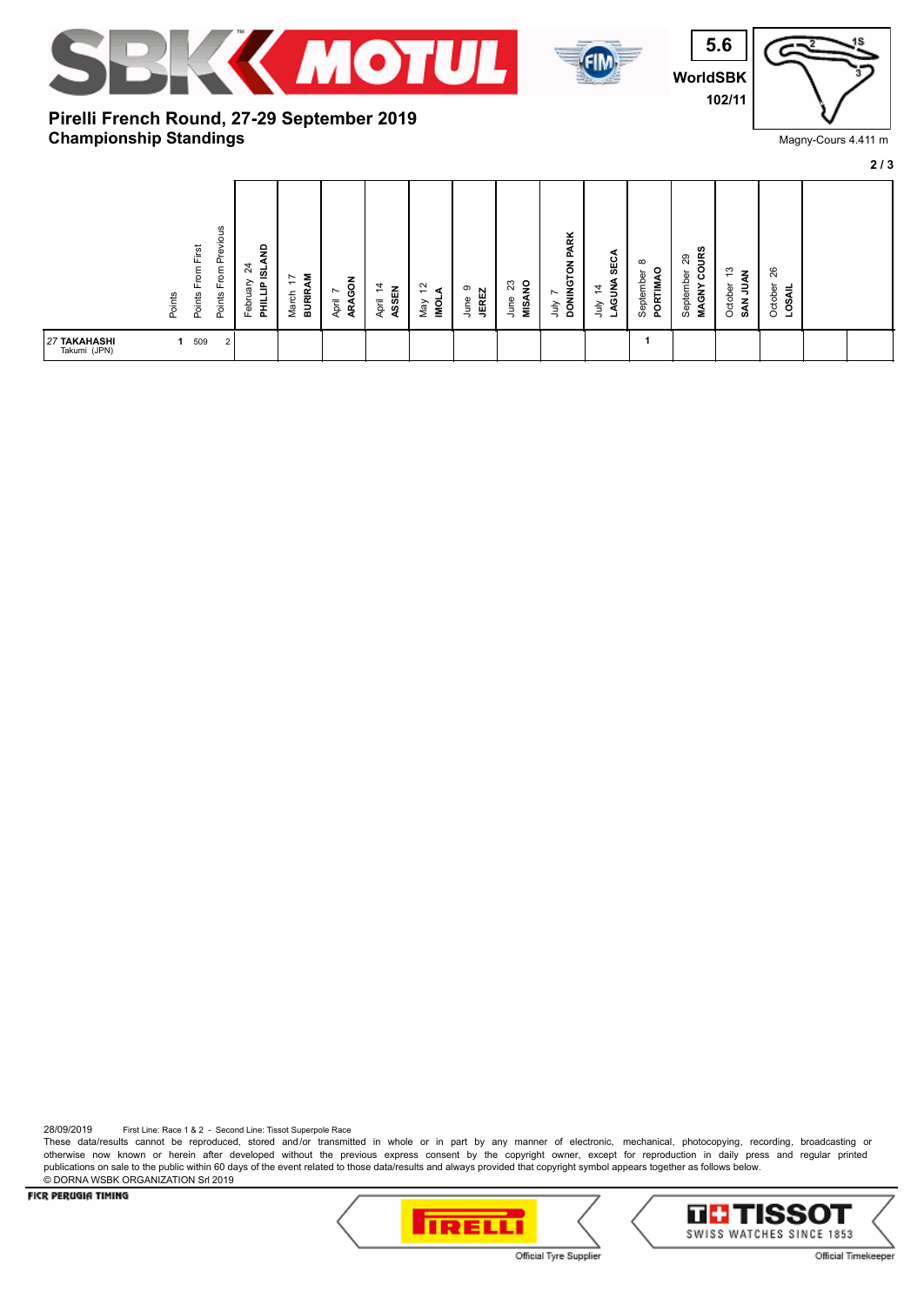





## **Championship Standings Pirelli French Round, 27-29 September 2019**

Magny-Cours 4.411 m

**2 / 3**

| Previous<br>From First<br>From<br>Points<br>Points<br>Points      | ≘<br>$\overline{a}$<br>₫<br>Ę<br>r<br>Vien<br>$\overline{ }$<br>≞<br><b>BURIR</b><br>March<br>ne⊒<br>F<br>룵 | <b>SON</b><br>$\dot{z}$<br>ASSEN<br>$\overline{ }$<br>ARA<br>April<br>April | 5,<br>Nay<br><b>I</b> MOL | $\overline{\mathbf{z}}$<br>ಔ<br>თ<br>N<br><b>JERE</b><br>MISA<br>June<br>June | <b>PARK</b><br><b>DONINGTON</b><br>∼<br>ήuι, | <b>SECA</b><br>$\infty$<br>۰<br>ত<br>PORTIMA<br>∢<br>Septemb<br><b>AGUN</b><br>4<br>ήц<br>⊐ | υRS<br>8<br>$\circ$<br>September<br>ပ<br>$\ddot{\tilde{c}}$<br>≸ | ო<br>z<br>$\overline{ }$<br>₹<br>October<br><b>SAN</b> | 26<br>October<br>TOSAIL |  |
|-------------------------------------------------------------------|-------------------------------------------------------------------------------------------------------------|-----------------------------------------------------------------------------|---------------------------|-------------------------------------------------------------------------------|----------------------------------------------|---------------------------------------------------------------------------------------------|------------------------------------------------------------------|--------------------------------------------------------|-------------------------|--|
| <b>27 TAKAHASHI</b><br>509<br>$\overline{2}$<br>1<br>Takumi (JPN) |                                                                                                             |                                                                             |                           |                                                                               |                                              |                                                                                             |                                                                  |                                                        |                         |  |

28/09/2019 First Line: Race 1 & 2 - Second Line: Tissot Superpole Race

These data/results cannot be reproduced, stored and/or transmitted in whole or in part by any manner of electronic, mechanical, photocopying, recording, broadcasting or otherwise now known or herein after developed without the previous express consent by the copyright owner, except for reproduction in daily press and regular printed publications on sale to the public within 60 days of the event related to those data/results and always provided that copyright symbol appears together as follows below. © DORNA WSBK ORGANIZATION Srl 2019

FICR PERUGIA TIMING





Official Tyre Supplier

Official Timekeeper